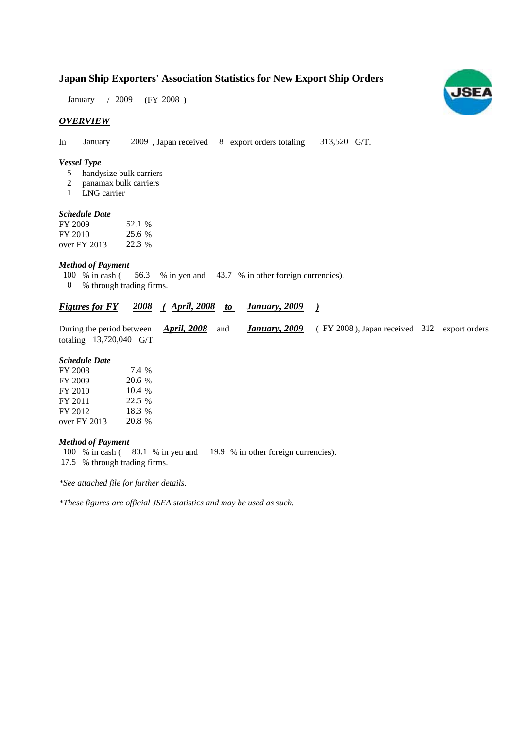### **Japan Ship Exporters' Association Statistics for New Export Ship Orders**

 $/ 2009$  (FY 2008) January / 2009

#### *OVERVIEW*

In January 2009, Japan received  $8$  export orders totaling 313,520 G/T.

#### *Vessel Type*

- handysize bulk carriers 5
- panamax bulk carriers 2
- LNG carrier 1

#### *Schedule Date*

| FY 2009        | 52.1 % |
|----------------|--------|
| FY 2010        | 25.6 % |
| over $FY$ 2013 | 22.3 % |

#### *Method of Payment*

- 100 % in cash (56.3 % in yen and 43.7 % in other foreign currencies).
- % through trading firms. 0

#### *Figures for FY* 2008 (April, 2008 to January, 2009 ) *January, 2009*

|                          |  |  | During the period between <i>April, 2008</i> and <i>January, 2009</i> (FY 2008), Japan received 312 export orders |  |
|--------------------------|--|--|-------------------------------------------------------------------------------------------------------------------|--|
| totaling 13,720,040 G/T. |  |  |                                                                                                                   |  |

#### *Schedule Date*

| FY 2008        | 7.4 %  |
|----------------|--------|
| FY 2009        | 20.6 % |
| FY 2010        | 10.4%  |
| FY 2011        | 22.5 % |
| FY 2012        | 18.3 % |
| over $FY$ 2013 | 20.8 % |

#### *Method of Payment*

100 % in cash (80.1 % in yen and 19.9 % in other foreign currencies). % through trading firms. 17.5

*\*See attached file for further details.*

*\*These figures are official JSEA statistics and may be used as such.*

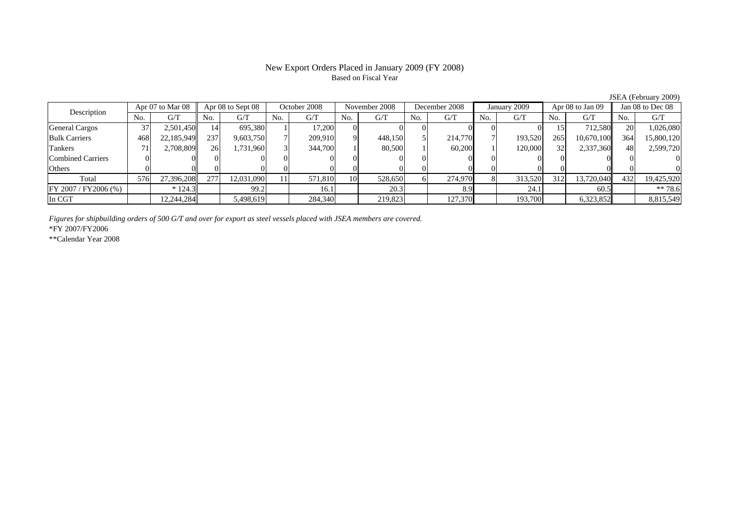#### New Export Orders Placed in January 2009 (FY 2008) Based on Fiscal Year

JSEA (February 2009)

| Description           | Apr 07 to Mar 08 |            | Apr 08 to Sept 08 |            | October 2008 |         | November 2008 |         | December 2008 |         | January 2009 |         | Apr 08 to Jan 09 |            | Jan 08 to Dec 08 |            |
|-----------------------|------------------|------------|-------------------|------------|--------------|---------|---------------|---------|---------------|---------|--------------|---------|------------------|------------|------------------|------------|
|                       |                  | G/T        | No.               | G/T        | No.          | G/T     | No.           | G/T     | No.           | G/T     | No.          | G/T     | No.              | G/T        | No.              | G/T        |
| <b>General Cargos</b> |                  | 2,501,450  | 14                | 695.380    |              | 17.200  |               |         |               |         |              |         |                  | 712.580L   | 20               | 1,026,080  |
| <b>Bulk Carriers</b>  | 468              | 22,185,949 | 237               | 9,603,750  |              | 209,910 |               | 448.150 |               | 214,770 |              | 193,520 | 265              | 10.670.100 | 364              | 15,800,120 |
| Tankers               |                  | 2,708,809  | 26                | 1,731,960  |              | 344,700 |               | 80,500  |               | 60,200  |              | 120,000 | 32               | 2,337,360  | 48               | 2,599,720  |
| Combined Carriers     |                  |            |                   |            |              |         |               |         |               |         |              |         |                  |            |                  |            |
| <b>Others</b>         |                  |            |                   |            |              |         |               |         |               |         |              |         |                  |            |                  |            |
| Total                 | 576              | 27,396,208 | 277               | 12,031,090 |              | 571,810 | <b>10</b>     | 528,650 |               | 274,970 |              | 313,520 | 312              | 13,720,040 | 432              | 19,425,920 |
| FY 2007 / FY 2006 (%) |                  | $* 124.3$  |                   | 99.2       |              | 16.1    |               | 20.3    |               | 8.9     |              | 24.1    |                  | 60.5       |                  | $** 78.6$  |
| In CGT                |                  | 12,244,284 |                   | 5,498,619  |              | 284,340 |               | 219,823 |               | 127,370 |              | 193,700 |                  | 6,323,852  |                  | 8,815,549  |

*Figures for shipbuilding orders of 500 G/T and over for export as steel vessels placed with JSEA members are covered.*

\*FY 2007/FY2006

\*\*Calendar Year 2008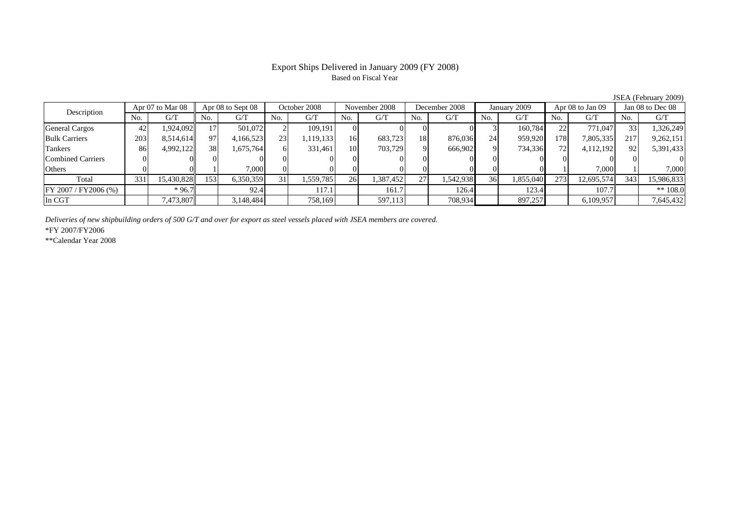## Based on Fiscal Year

No. I G/T II No. I G/T II No. I G/T II No. I G/T G/T II No. I G/T II No. I G/T II No. I G/T II No. I G/T II No  $G/T$ General Cargos ( 42 1,924,092 17 501,072 2 109,191 0 0 0 0 0 3 160,784 22 771,047 33 1,326,249 Bulk Carriers 203 8,514,614 97 4,166,523 23 1,119,133 16 683,723 18 876,036 24 959,920 178 7,805,335 217 9,262,151 Tankers | 86 4,992,122 38 1,675,764 6 331,461 10 703,729 9 666,902 9 734,336 72 4,112,192 92 5,391,433 Combined Carriers 0 0 0 0 0 0 0 0 0 0 0 0 0 0 0 0Others 0 0 1 7,000 0 0 0 0 0 0 0 0 1 7,000 1 7,000 Total 331 15,430,828 153 6,350,359 31 1,559,785 26 1,387,452 27 1,542,938 36 1,855,040 273 12,695,574 343 15,986,833 FY 2007 / FY2006 (%) \* 96.7 92.4 117.1 161.7 126.4 123.4 107.7 \*\* 108.0 In CGT | | 7,473,807 || | 3,148,484 | | 758,169 | | 597,113 | | 708,934 | | 897,257 | | 6,109,957 | | 7,645,432 Description Apr 07 to Mar 08 || Apr 08 to Sept 08 || October 2008 || November 2008 || December 2008 || January 2009 || Apr 08 to Jan 09 || Jan 08 to Dec 08

*Deliveries of new shipbuilding orders of 500 G/T and over for export as steel vessels placed with JSEA members are covered.*

\*FY 2007/FY2006

\*\*Calendar Year 2008

JSEA (February 2009)

# Export Ships Delivered in January 2009 (FY 2008)